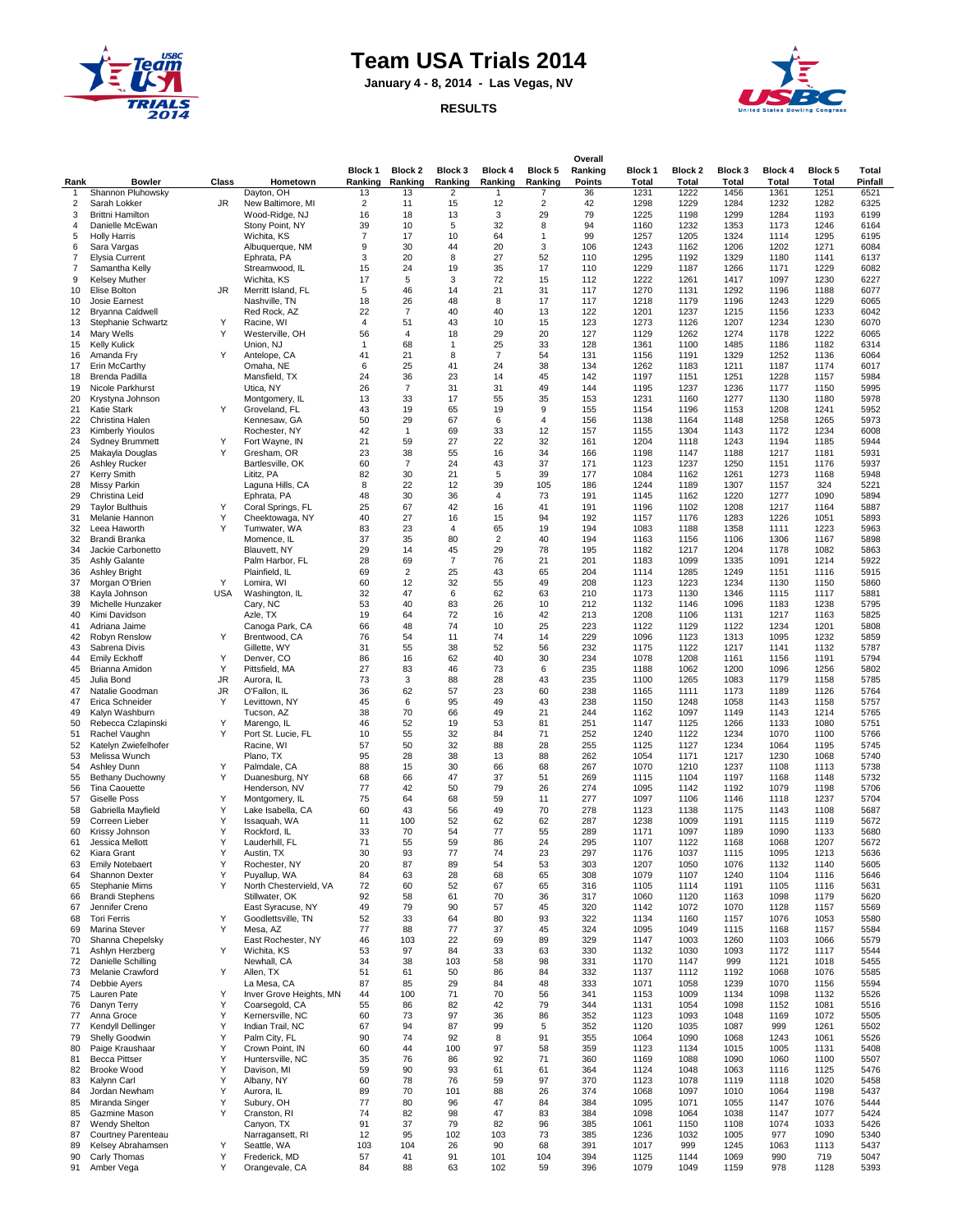

## **Team USA Trials 2014**

**January 4 - 8, 2014 - Las Vegas, NV**

**RESULTS**

| Rank         | <b>Bowler</b>                            | Class      | Hometown                             | Block 1<br>Ranking | Block 2<br>Ranking | Block 3<br>Ranking      | Block 4<br>Ranking   | Block 5<br>Ranking | Overall<br>Ranking<br><b>Points</b> | Block 1<br><b>Total</b> | Block 2<br>Total | Block 3<br>Total | <b>Block 4</b><br>Total | <b>Block 5</b><br>Total | Total<br>Pinfall |
|--------------|------------------------------------------|------------|--------------------------------------|--------------------|--------------------|-------------------------|----------------------|--------------------|-------------------------------------|-------------------------|------------------|------------------|-------------------------|-------------------------|------------------|
| $\mathbf{1}$ | Shannon Pluhowsky                        |            | Dayton, OH                           | 13                 | 13                 | $\overline{\mathbf{c}}$ | 1                    | $\overline{7}$     | 36                                  | 1231                    | 1222             | 1456             | 1361                    | 1251                    | 6521             |
| 2            | Sarah Lokker                             | JR         | New Baltimore, MI                    | $\overline{2}$     | 11                 | 15                      | 12                   | $\overline{2}$     | 42                                  | 1298                    | 1229             | 1284             | 1232                    | 1282                    | 6325             |
| 3            | <b>Brittni Hamilton</b>                  |            | Wood-Ridge, NJ                       | 16                 | 18                 | 13                      | 3                    | 29                 | 79                                  | 1225                    | 1198             | 1299             | 1284                    | 1193                    | 6199             |
| 4            | Danielle McEwan                          |            | Stony Point, NY                      | 39                 | 10                 | 5                       | 32                   | 8                  | 94                                  | 1160                    | 1232             | 1353             | 1173                    | 1246                    | 6164             |
| 5            | <b>Holly Harris</b>                      |            | Wichita, KS                          | $\overline{7}$     | 17                 | 10                      | 64                   | $\mathbf{1}$       | 99                                  | 1257                    | 1205             | 1324             | 1114                    | 1295                    | 6195             |
| 6            | Sara Vargas                              |            | Albuquerque, NM                      | 9                  | 30                 | 44                      | 20                   | 3                  | 106                                 | 1243                    | 1162             | 1206             | 1202                    | 1271                    | 6084             |
| 7<br>7       | <b>Elysia Current</b>                    |            | Ephrata, PA                          | 3<br>15            | 20<br>24           | 8<br>19                 | 27<br>35             | 52<br>17           | 110<br>110                          | 1295<br>1229            | 1192<br>1187     | 1329<br>1266     | 1180<br>1171            | 1141<br>1229            | 6137<br>6082     |
| 9            | Samantha Kelly<br><b>Kelsey Muther</b>   |            | Streamwood, IL<br>Wichita, KS        | 17                 | 5                  | 3                       | 72                   | 15                 | 112                                 | 1222                    | 1261             | 1417             | 1097                    | 1230                    | 6227             |
| 10           | Elise Bolton                             | JR         | Merritt Island, FL                   | 5                  | 46                 | 14                      | 21                   | 31                 | 117                                 | 1270                    | 1131             | 1292             | 1196                    | 1188                    | 6077             |
| 10           | Josie Earnest                            |            | Nashville, TN                        | 18                 | 26                 | 48                      | 8                    | 17                 | 117                                 | 1218                    | 1179             | 1196             | 1243                    | 1229                    | 6065             |
| 12           | <b>Bryanna Caldwell</b>                  |            | Red Rock, AZ                         | 22                 | $\overline{7}$     | 40                      | 40                   | 13                 | 122                                 | 1201                    | 1237             | 1215             | 1156                    | 1233                    | 6042             |
| 13           | Stephanie Schwartz                       | Υ          | Racine, WI                           | 4                  | 51                 | 43                      | 10                   | 15                 | 123                                 | 1273                    | 1126             | 1207             | 1234                    | 1230                    | 6070             |
| 14           | Mary Wells                               | Y          | Westerville, OH                      | 56                 | $\overline{4}$     | 18                      | 29                   | 20                 | 127                                 | 1129                    | 1262             | 1274             | 1178                    | 1222                    | 6065             |
| 15           | <b>Kelly Kulick</b>                      |            | Union, NJ                            | $\mathbf{1}$       | 68                 | 1                       | 25                   | 33                 | 128                                 | 1361                    | 1100             | 1485             | 1186                    | 1182                    | 6314             |
| 16           | Amanda Fry                               | Y          | Antelope, CA                         | 41                 | 21                 | 8                       | $\overline{7}$       | 54                 | 131                                 | 1156                    | 1191             | 1329             | 1252                    | 1136                    | 6064             |
| 17<br>18     | Erin McCarthy<br>Brenda Padilla          |            | Omaha, NE<br>Mansfield, TX           | 6<br>24            | 25<br>36           | 41<br>23                | 24<br>14             | 38<br>45           | 134<br>142                          | 1262<br>1197            | 1183<br>1151     | 1211<br>1251     | 1187<br>1228            | 1174<br>1157            | 6017<br>5984     |
| 19           | Nicole Parkhurst                         |            | Utica, NY                            | 26                 | $\overline{7}$     | 31                      | 31                   | 49                 | 144                                 | 1195                    | 1237             | 1236             | 1177                    | 1150                    | 5995             |
| 20           | Krystyna Johnson                         |            | Montgomery, IL                       | 13                 | 33                 | 17                      | 55                   | 35                 | 153                                 | 1231                    | 1160             | 1277             | 1130                    | 1180                    | 5978             |
| 21           | Katie Stark                              | Y          | Groveland, FL                        | 43                 | 19                 | 65                      | 19                   | 9                  | 155                                 | 1154                    | 1196             | 1153             | 1208                    | 1241                    | 5952             |
| 22           | Christina Halen                          |            | Kennesaw, GA                         | 50                 | 29                 | 67                      | 6                    | $\overline{4}$     | 156                                 | 1138                    | 1164             | 1148             | 1258                    | 1265                    | 5973             |
| 23           | <b>Kimberly Yioulos</b>                  |            | Rochester, NY                        | 42                 | $\mathbf{1}$       | 69                      | 33                   | 12                 | 157                                 | 1155                    | 1304             | 1143             | 1172                    | 1234                    | 6008             |
| 24           | <b>Sydney Brummett</b>                   | Y          | Fort Wayne, IN                       | 21                 | 59                 | 27                      | 22                   | 32                 | 161                                 | 1204                    | 1118             | 1243             | 1194                    | 1185                    | 5944             |
| 25           | Makayla Douglas                          | Y          | Gresham, OR                          | 23                 | 38                 | 55                      | 16                   | 34                 | 166                                 | 1198                    | 1147             | 1188             | 1217                    | 1181                    | 5931             |
| 26           | <b>Ashley Rucker</b>                     |            | Bartlesville, OK                     | 60                 | $\overline{7}$     | 24                      | 43                   | 37                 | 171                                 | 1123                    | 1237             | 1250             | 1151                    | 1176                    | 5937             |
| 27           | <b>Kerry Smith</b>                       |            | Lititz, PA                           | 82                 | 30                 | 21                      | 5                    | 39                 | 177                                 | 1084                    | 1162             | 1261             | 1273                    | 1168                    | 5948             |
| 28           | Missy Parkin                             |            | Laguna Hills, CA                     | 8                  | 22                 | 12                      | 39                   | 105                | 186                                 | 1244                    | 1189             | 1307             | 1157                    | 324                     | 5221             |
| 29<br>29     | Christina Leid                           | Y          | Ephrata, PA                          | 48<br>25           | 30<br>67           | 36<br>42                | $\overline{4}$<br>16 | 73<br>41           | 191<br>191                          | 1145<br>1196            | 1162<br>1102     | 1220<br>1208     | 1277<br>1217            | 1090<br>1164            | 5894<br>5887     |
| 31           | <b>Taylor Bulthuis</b><br>Melanie Hannon | Υ          | Coral Springs, FL<br>Cheektowaga, NY | 40                 | 27                 | 16                      | 15                   | 94                 | 192                                 | 1157                    | 1176             | 1283             | 1226                    | 1051                    | 5893             |
| 32           | Leea Haworth                             | Y          | Tumwater, WA                         | 83                 | 23                 | 4                       | 65                   | 19                 | 194                                 | 1083                    | 1188             | 1358             | 1111                    | 1223                    | 5963             |
| 32           | Brandi Branka                            |            | Momence, IL                          | 37                 | 35                 | 80                      | $\overline{2}$       | 40                 | 194                                 | 1163                    | 1156             | 1106             | 1306                    | 1167                    | 5898             |
| 34           | Jackie Carbonetto                        |            | Blauvett, NY                         | 29                 | 14                 | 45                      | 29                   | 78                 | 195                                 | 1182                    | 1217             | 1204             | 1178                    | 1082                    | 5863             |
| 35           | <b>Ashly Galante</b>                     |            | Palm Harbor, FL                      | 28                 | 69                 | $\overline{7}$          | 76                   | 21                 | 201                                 | 1183                    | 1099             | 1335             | 1091                    | 1214                    | 5922             |
| 36           | <b>Ashley Bright</b>                     |            | Plainfield, IL                       | 69                 | $\overline{2}$     | 25                      | 43                   | 65                 | 204                                 | 1114                    | 1285             | 1249             | 1151                    | 1116                    | 5915             |
| 37           | Morgan O'Brien                           | Y          | Lomira, WI                           | 60                 | 12                 | 32                      | 55                   | 49                 | 208                                 | 1123                    | 1223             | 1234             | 1130                    | 1150                    | 5860             |
| 38           | Kayla Johnson                            | <b>USA</b> | Washington, IL                       | 32                 | 47                 | 6                       | 62                   | 63                 | 210                                 | 1173                    | 1130             | 1346             | 1115                    | 1117                    | 5881             |
| 39           | Michelle Hunzaker                        |            | Cary, NC                             | 53                 | 40                 | 83                      | 26                   | 10                 | 212                                 | 1132                    | 1146             | 1096             | 1183                    | 1238                    | 5795             |
| 40<br>41     | Kimi Davidson                            |            | Azle, TX                             | 19<br>66           | 64<br>48           | 72<br>74                | 16<br>10             | 42<br>25           | 213<br>223                          | 1208<br>1122            | 1106             | 1131<br>1122     | 1217<br>1234            | 1163<br>1201            | 5825<br>5808     |
| 42           | Adriana Jaime<br>Robyn Renslow           | Y          | Canoga Park, CA<br>Brentwood, CA     | 76                 | 54                 | 11                      | 74                   | 14                 | 229                                 | 1096                    | 1129<br>1123     | 1313             | 1095                    | 1232                    | 5859             |
| 43           | Sabrena Divis                            |            | Gillette, WY                         | 31                 | 55                 | 38                      | 52                   | 56                 | 232                                 | 1175                    | 1122             | 1217             | 1141                    | 1132                    | 5787             |
| 44           | <b>Emily Eckhoff</b>                     | Y          | Denver, CO                           | 86                 | 16                 | 62                      | 40                   | 30                 | 234                                 | 1078                    | 1208             | 1161             | 1156                    | 1191                    | 5794             |
| 45           | Brianna Amidon                           | Y          | Pittsfield, MA                       | 27                 | 83                 | 46                      | 73                   | 6                  | 235                                 | 1188                    | 1062             | 1200             | 1096                    | 1256                    | 5802             |
| 45           | Julia Bond                               | JR         | Aurora, IL                           | 73                 | 3                  | 88                      | 28                   | 43                 | 235                                 | 1100                    | 1265             | 1083             | 1179                    | 1158                    | 5785             |
| 47           | Natalie Goodman                          | JR         | O'Fallon, IL                         | 36                 | 62                 | 57                      | 23                   | 60                 | 238                                 | 1165                    | 1111             | 1173             | 1189                    | 1126                    | 5764             |
| 47           | Erica Schneider                          | Y          | Levittown, NY                        | 45                 | 6                  | 95                      | 49                   | 43                 | 238                                 | 1150                    | 1248             | 1058             | 1143                    | 1158                    | 5757             |
| 49           | Kalyn Washburn                           |            | Tucson, AZ                           | 38                 | 70                 | 66                      | 49                   | 21                 | 244                                 | 1162                    | 1097             | 1149             | 1143                    | 1214                    | 5765             |
| 50<br>51     | Rebecca Czlapinski<br>Rachel Vaughn      | Y<br>Y     | Marengo, IL<br>Port St. Lucie, FL    | 46<br>10           | 52<br>55           | 19<br>32                | 53<br>84             | 81<br>71           | 251<br>252                          | 1147<br>1240            | 1125<br>1122     | 1266<br>1234     | 1133<br>1070            | 1080<br>1100            | 5751<br>5766     |
| 52           | Katelyn Zwiefelhofer                     |            | Racine, WI                           | 57                 | 50                 | 32                      | 88                   | 28                 | 255                                 | 1125                    | 1127             | 1234             | 1064                    | 1195                    | 5745             |
| 53           | Melissa Wunch                            |            | Plano, TX                            | 95                 | 28                 | 38                      | 13                   | 88                 | 262                                 | 1054                    | 1171             | 1217             | 1230                    | 1068                    | 5740             |
| 54           | Ashley Dunn                              | Y          | Palmdale, CA                         | 88                 | 15                 | 30                      | 66                   | 68                 | 267                                 | 1070                    | 1210             | 1237             | 1108                    | 1113                    | 5738             |
| 55           | <b>Bethany Duchowny</b>                  | Υ          | Duanesburg, NY                       | 68                 | 66                 | 47                      | 37                   | 51                 | 269                                 | 1115                    | 1104             | 1197             | 1168                    | 1148                    | 5732             |
| 56           | Tina Caouette                            |            | Henderson, NV                        | 77                 | 42                 | 50                      | 79                   | 26                 | 274                                 | 1095                    | 1142             | 1192             | 1079                    | 1198                    | 5706             |
| 57           | <b>Giselle Poss</b>                      | Y          | Montgomery, IL                       | 75                 | 64                 | 68                      | 59                   | 11                 | 277                                 | 1097                    | 1106             | 1146             | 1118                    | 1237                    | 5704             |
| 58           | Gabriella Mayfield                       | Υ          | Lake Isabella, CA                    | 60                 | 43                 | 56                      | 49                   | 70                 | 278                                 | 1123                    | 1138             | 1175             | 1143                    | 1108                    | 5687             |
| 59           | Correen Lieber                           | Υ          | Issaquah, WA                         | 11                 | 100                | 52                      | 62                   | 62                 | 287                                 | 1238                    | 1009             | 1191             | 1115                    | 1119                    | 5672             |
| 60<br>61     | Krissy Johnson                           | Υ<br>Y     | Rockford, IL<br>Lauderhill, FL       | 33<br>71           | 70<br>55           | 54<br>59                | 77<br>86             | 55<br>24           | 289<br>295                          | 1171<br>1107            | 1097<br>1122     | 1189<br>1168     | 1090<br>1068            | 1133<br>1207            | 5680<br>5672     |
| 62           | Jessica Mellott<br>Kiara Grant           | Y          | Austin, TX                           | 30                 | 93                 | 77                      | 74                   | 23                 | 297                                 | 1176                    | 1037             | 1115             | 1095                    | 1213                    | 5636             |
| 63           | <b>Emily Notebaert</b>                   | Y          | Rochester, NY                        | 20                 | 87                 | 89                      | 54                   | 53                 | 303                                 | 1207                    | 1050             | 1076             | 1132                    | 1140                    | 5605             |
| 64           | Shannon Dexter                           | Y          | Puyallup, WA                         | 84                 | 63                 | 28                      | 68                   | 65                 | 308                                 | 1079                    | 1107             | 1240             | 1104                    | 1116                    | 5646             |
| 65           | Stephanie Mims                           | Y          | North Chestervield, VA               | 72                 | 60                 | 52                      | 67                   | 65                 | 316                                 | 1105                    | 1114             | 1191             | 1105                    | 1116                    | 5631             |
| 66           | <b>Brandi Stephens</b>                   |            | Stillwater, OK                       | 92                 | 58                 | 61                      | 70                   | 36                 | 317                                 | 1060                    | 1120             | 1163             | 1098                    | 1179                    | 5620             |
| 67           | Jennifer Creno                           |            | East Syracuse, NY                    | 49                 | 79                 | 90                      | 57                   | 45                 | 320                                 | 1142                    | 1072             | 1070             | 1128                    | 1157                    | 5569             |
| 68           | <b>Tori Ferris</b>                       | Y          | Goodlettsville, TN                   | 52                 | 33                 | 64                      | 80                   | 93                 | 322                                 | 1134                    | 1160             | 1157             | 1076                    | 1053                    | 5580             |
| 69           | Marina Stever                            | Υ          | Mesa, AZ                             | 77                 | 88                 | 77                      | 37                   | 45                 | 324                                 | 1095                    | 1049             | 1115             | 1168                    | 1157                    | 5584             |
| 70           | Shanna Chepelsky                         |            | East Rochester, NY                   | 46                 | 103                | 22                      | 69                   | 89                 | 329                                 | 1147                    | 1003             | 1260             | 1103                    | 1066                    | 5579             |
| 71           | Ashlyn Herzberg                          | Υ          | Wichita, KS                          | 53<br>34           | 97<br>38           | 84<br>103               | 33                   | 63<br>98           | 330<br>331                          | 1132                    | 1030             | 1093<br>999      | 1172                    | 1117                    | 5544             |
| 72<br>73     | Danielle Schilling<br>Melanie Crawford   | Y          | Newhall, CA<br>Allen, TX             | 51                 | 61                 | 50                      | 58<br>86             | 84                 | 332                                 | 1170<br>1137            | 1147<br>1112     | 1192             | 1121<br>1068            | 1018<br>1076            | 5455<br>5585     |
| 74           | Debbie Ayers                             |            | La Mesa, CA                          | 87                 | 85                 | 29                      | 84                   | 48                 | 333                                 | 1071                    | 1058             | 1239             | 1070                    | 1156                    | 5594             |
| 75           | Lauren Pate                              | Y          | Inver Grove Heights, MN              | 44                 | 100                | 71                      | 70                   | 56                 | 341                                 | 1153                    | 1009             | 1134             | 1098                    | 1132                    | 5526             |
| 76           | Danyn Terry                              | Υ          | Coarsegold, CA                       | 55                 | 86                 | 82                      | 42                   | 79                 | 344                                 | 1131                    | 1054             | 1098             | 1152                    | 1081                    | 5516             |
| 77           | Anna Groce                               | Υ          | Kernersville, NC                     | 60                 | 73                 | 97                      | 36                   | 86                 | 352                                 | 1123                    | 1093             | 1048             | 1169                    | 1072                    | 5505             |
| 77           | Kendyll Dellinger                        | Υ          | Indian Trail, NC                     | 67                 | 94                 | 87                      | 99                   | 5                  | 352                                 | 1120                    | 1035             | 1087             | 999                     | 1261                    | 5502             |
| 79           | Shelly Goodwin                           | Υ          | Palm City, FL                        | 90                 | 74                 | 92                      | 8                    | 91                 | 355                                 | 1064                    | 1090             | 1068             | 1243                    | 1061                    | 5526             |
| 80           | Paige Kraushaar                          | Y          | Crown Point, IN                      | 60                 | 44                 | 100                     | 97                   | 58                 | 359                                 | 1123                    | 1134             | 1015             | 1005                    | 1131                    | 5408             |
| 81           | <b>Becca Pittser</b>                     | Υ          | Huntersville, NC                     | 35                 | 76                 | 86                      | 92                   | 71                 | 360                                 | 1169                    | 1088             | 1090             | 1060                    | 1100                    | 5507             |
| 82           | <b>Brooke Wood</b>                       | Υ          | Davison, MI                          | 59                 | 90                 | 93                      | 61                   | 61                 | 364                                 | 1124                    | 1048             | 1063             | 1116                    | 1125                    | 5476             |
| 83           | Kalynn Carl                              | Y          | Albany, NY                           | 60                 | 78                 | 76                      | 59                   | 97                 | 370                                 | 1123                    | 1078             | 1119             | 1118                    | 1020                    | 5458             |
| 84<br>85     | Jordan Newham<br>Miranda Singer          | Υ<br>Υ     | Aurora, IL<br>Subury, OH             | 89<br>77           | 70<br>80           | 101<br>96               | 88<br>47             | 26<br>84           | 374<br>384                          | 1068<br>1095            | 1097<br>1071     | 1010<br>1055     | 1064<br>1147            | 1198<br>1076            | 5437<br>5444     |
| 85           | Gazmine Mason                            | Y          | Cranston, RI                         | 74                 | 82                 | 98                      | 47                   | 83                 | 384                                 | 1098                    | 1064             | 1038             | 1147                    | 1077                    | 5424             |
| 87           | <b>Wendy Shelton</b>                     |            | Canyon, TX                           | 91                 | 37                 | 79                      | 82                   | 96                 | 385                                 | 1061                    | 1150             | 1108             | 1074                    | 1033                    | 5426             |
| 87           | Courtney Parenteau                       |            | Narragansett, RI                     | 12                 | 95                 | 102                     | 103                  | 73                 | 385                                 | 1236                    | 1032             | 1005             | 977                     | 1090                    | 5340             |
| 89           | Kelsey Abrahamsen                        | Y          | Seattle, WA                          | 103                | 104                | 26                      | 90                   | 68                 | 391                                 | 1017                    | 999              | 1245             | 1063                    | 1113                    | 5437             |
| 90           | Carly Thomas                             | Υ          | Frederick, MD                        | 57                 | 41                 | 91                      | 101                  | 104                | 394                                 | 1125                    | 1144             | 1069             | 990                     | 719                     | 5047             |
| 91           | Amber Vega                               | Υ          | Orangevale, CA                       | 84                 | 88                 | 63                      | 102                  | 59                 | 396                                 | 1079                    | 1049             | 1159             | 978                     | 1128                    | 5393             |